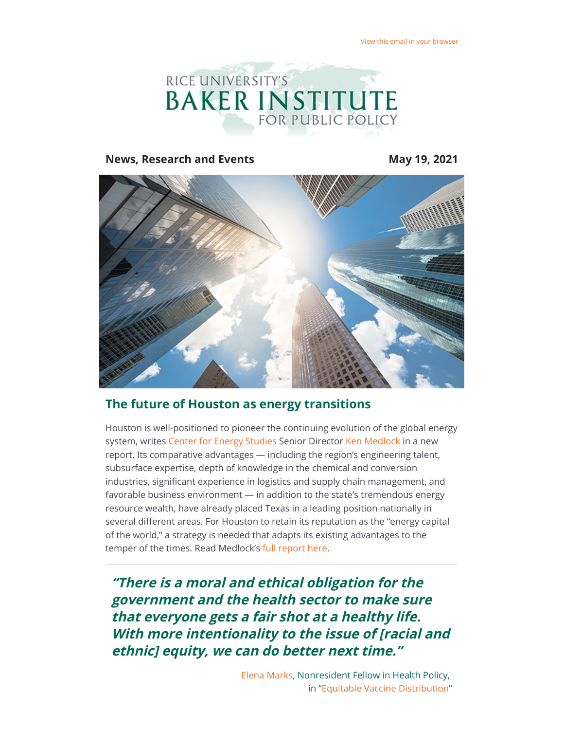

**News, Research and Events May 19, 2021** 



## **The future of Houston as energy transitions**

Houston is well-positioned to pioneer the continuing evolution of the global energy system, writes [Center for Energy Studies](https://riceconnect.rice.edu/page.redir?target=https%3a%2f%2fwww.bakerinstitute.org%2fcenter-for-energy-studies%2f&srcid=230211&srctid=1&erid=d74fb49a-88d7-42cd-8991-d196552e31d4&trid=d74fb49a-88d7-42cd-8991-d196552e31d4) Senior Director [Ken Medlock](https://riceconnect.rice.edu/page.redir?target=https%3a%2f%2fwww.bakerinstitute.org%2fexperts%2fkenneth-b-medlock-iii%2f&srcid=230211&srctid=1&erid=d74fb49a-88d7-42cd-8991-d196552e31d4&trid=d74fb49a-88d7-42cd-8991-d196552e31d4) in a new report. Its comparative advantages — including the region's engineering talent, subsurface expertise, depth of knowledge in the chemical and conversion industries, significant experience in logistics and supply chain management, and favorable business environment — in addition to the state's tremendous energy resource wealth, have already placed Texas in a leading position nationally in several different areas. For Houston to retain its reputation as the "energy capital of the world," a strategy is needed that adapts its existing advantages to the temper of the times. Read Medlock's [full report here](https://riceconnect.rice.edu/page.redir?target=https%3a%2f%2fwww.bakerinstitute.org%2ffiles%2f17312%2f&srcid=230211&srctid=1&erid=d74fb49a-88d7-42cd-8991-d196552e31d4&trid=d74fb49a-88d7-42cd-8991-d196552e31d4).

**"There is a moral and ethical obligation for the government and the health sector to make sure that everyone gets a fair shot at a healthy life. With more intentionality to the issue of [racial and ethnic] equity, we can do better next time."**

> [Elena Marks](https://riceconnect.rice.edu/page.redir?target=https%3a%2f%2fwww.bakerinstitute.org%2fexperts%2felena-m-marks%2f&srcid=230211&srctid=1&erid=d74fb49a-88d7-42cd-8991-d196552e31d4&trid=d74fb49a-88d7-42cd-8991-d196552e31d4), Nonresident Fellow in Health Policy, in "[Equitable Vaccine Distribution"](https://riceconnect.rice.edu/page.redir?target=http%3a%2f%2fblog.bakerinstitute.org%2f2021%2f05%2f05%2fequitable-vaccine-distribution-requires-intentionality-lets-do-better-next-time%2f&srcid=230211&srctid=1&erid=d74fb49a-88d7-42cd-8991-d196552e31d4&trid=d74fb49a-88d7-42cd-8991-d196552e31d4)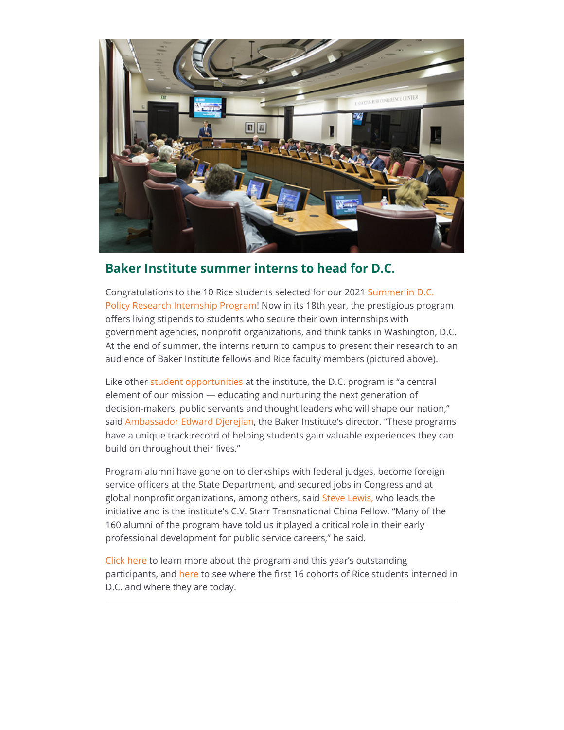

## **Baker Institute summer interns to head for D.C.**

[Congratulations to the 10 Rice students selected for our 2021 Summer in D.C.](https://riceconnect.rice.edu/page.redir?target=https%3a%2f%2fwww.bakerinstitute.org%2fstudents%2fjesse-jones-leadership-center-summer-in-dc-policy-research-internship-program%2f&srcid=230211&srctid=1&erid=d74fb49a-88d7-42cd-8991-d196552e31d4&trid=d74fb49a-88d7-42cd-8991-d196552e31d4) Policy Research Internship Program! Now in its 18th year, the prestigious program offers living stipends to students who secure their own internships with government agencies, nonprofit organizations, and think tanks in Washington, D.C. At the end of summer, the interns return to campus to present their research to an audience of Baker Institute fellows and Rice faculty members (pictured above).

Like other [student opportunities](https://riceconnect.rice.edu/page.redir?target=https%3a%2f%2fwww.bakerinstitute.org%2fstudents%2f&srcid=230211&srctid=1&erid=d74fb49a-88d7-42cd-8991-d196552e31d4&trid=d74fb49a-88d7-42cd-8991-d196552e31d4) at the institute, the D.C. program is "a central element of our mission — educating and nurturing the next generation of decision-makers, public servants and thought leaders who will shape our nation," said [Ambassador Edward Djerejian,](https://riceconnect.rice.edu/page.redir?target=https%3a%2f%2fwww.bakerinstitute.org%2fexperts%2fedward-p-djerejian%2f&srcid=230211&srctid=1&erid=d74fb49a-88d7-42cd-8991-d196552e31d4&trid=d74fb49a-88d7-42cd-8991-d196552e31d4) the Baker Institute's director. "These programs have a unique track record of helping students gain valuable experiences they can build on throughout their lives."

Program alumni have gone on to clerkships with federal judges, become foreign service officers at the State Department, and secured jobs in Congress and at global nonprofit organizations, among others, said [Steve Lewis,](https://riceconnect.rice.edu/page.redir?target=https%3a%2f%2fwww.bakerinstitute.org%2fexperts%2fsteven-w-lewis%2f&srcid=230211&srctid=1&erid=d74fb49a-88d7-42cd-8991-d196552e31d4&trid=d74fb49a-88d7-42cd-8991-d196552e31d4) who leads the initiative and is the institute's C.V. Starr Transnational China Fellow. "Many of the 160 alumni of the program have told us it played a critical role in their early professional development for public service careers," he said.

[Click here](https://riceconnect.rice.edu/page.redir?target=https%3a%2f%2fwww.bakerinstitute.org%2fstudents%2fjesse-jones-leadership-center-summer-in-dc-policy-research-internship-program%2f&srcid=230211&srctid=1&erid=d74fb49a-88d7-42cd-8991-d196552e31d4&trid=d74fb49a-88d7-42cd-8991-d196552e31d4) to learn more about the program and this year's outstanding participants, and [here](https://riceconnect.rice.edu/page.redir?target=http%3a%2f%2fbakerinstitute.org%2ffiles%2f9980%2f&srcid=230211&srctid=1&erid=d74fb49a-88d7-42cd-8991-d196552e31d4&trid=d74fb49a-88d7-42cd-8991-d196552e31d4) to see where the first 16 cohorts of Rice students interned in D.C. and where they are today.